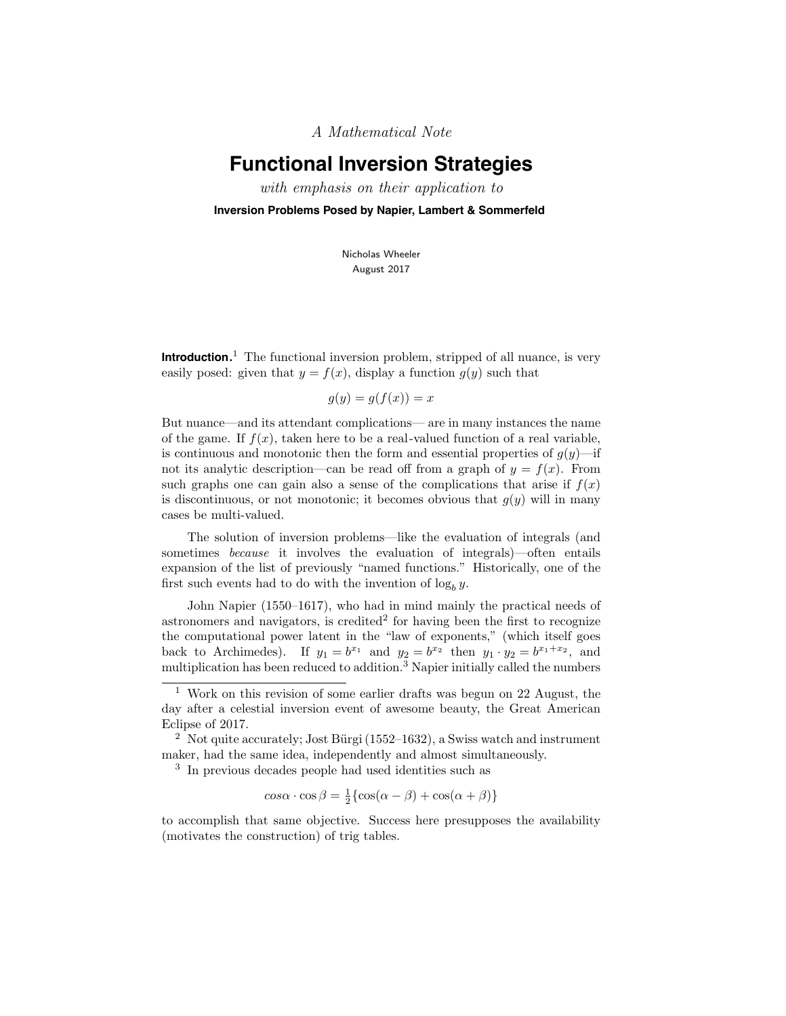A Mathematical Note

# **Functional Inversion Strategies**

with emphasis on their application to

**Inversion Problems Posed by Napier, Lambert & Sommerfeld**

Nicholas Wheeler August 2017

**Introduction.** <sup>1</sup> The functional inversion problem, stripped of all nuance, is very easily posed: given that  $y = f(x)$ , display a function  $g(y)$  such that

$$
g(y) = g(f(x)) = x
$$

But nuance—and its attendant complications— are in many instances the name of the game. If  $f(x)$ , taken here to be a real-valued function of a real variable, is continuous and monotonic then the form and essential properties of  $q(y)$ —if not its analytic description—can be read off from a graph of  $y = f(x)$ . From such graphs one can gain also a sense of the complications that arise if  $f(x)$ is discontinuous, or not monotonic; it becomes obvious that  $g(y)$  will in many cases be multi-valued.

The solution of inversion problems—like the evaluation of integrals (and sometimes because it involves the evaluation of integrals)—often entails expansion of the list of previously "named functions." Historically, one of the first such events had to do with the invention of  $\log_b y$ .

John Napier (1550–1617), who had in mind mainly the practical needs of astronomers and navigators, is credited<sup>2</sup> for having been the first to recognize the computational power latent in the "law of exponents," (which itself goes back to Archimedes). If  $y_1 = b^{x_1}$  and  $y_2 = b^{x_2}$  then  $y_1 \cdot y_2 = b^{x_1+x_2}$ , and multiplication has been reduced to addition.<sup>3</sup> Napier initially called the numbers

$$
\cos\alpha \cdot \cos\beta = \frac{1}{2} \{ \cos(\alpha - \beta) + \cos(\alpha + \beta) \}
$$

to accomplish that same objective. Success here presupposes the availability (motivates the construction) of trig tables.

<sup>1</sup> Work on this revision of some earlier drafts was begun on 22 August, the day after a celestial inversion event of awesome beauty, the Great American Eclipse of 2017.

<sup>&</sup>lt;sup>2</sup> Not quite accurately; Jost Bürgi  $(1552-1632)$ , a Swiss watch and instrument maker, had the same idea, independently and almost simultaneously.

<sup>3</sup> In previous decades people had used identities such as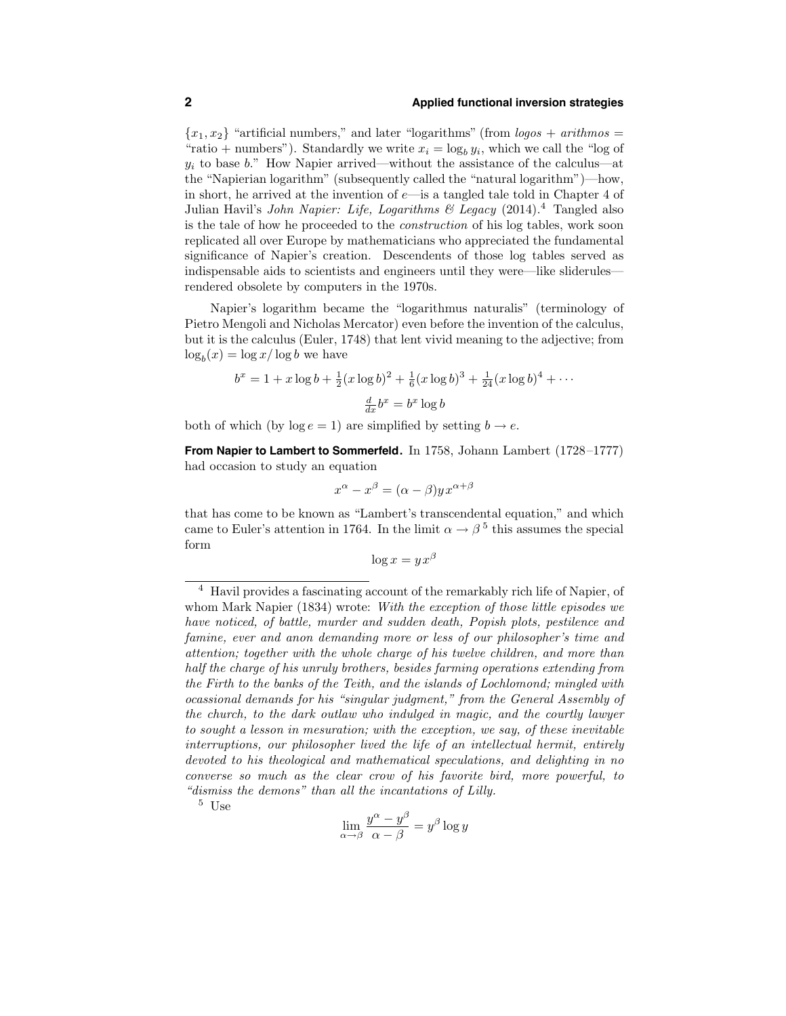${x_1, x_2}$  "artificial numbers," and later "logarithms" (from *logos + arithmos =* "ratio + numbers"). Standardly we write  $x_i = \log_b y_i$ , which we call the "log of  $y_i$  to base b." How Napier arrived—without the assistance of the calculus—at the "Napierian logarithm" (subsequently called the "natural logarithm")—how, in short, he arrived at the invention of  $e$ —is a tangled tale told in Chapter 4 of Julian Havil's John Napier: Life, Logarithms  $\mathcal C$  Legacy (2014).<sup>4</sup> Tangled also is the tale of how he proceeded to the construction of his log tables, work soon replicated all over Europe by mathematicians who appreciated the fundamental significance of Napier's creation. Descendents of those log tables served as indispensable aids to scientists and engineers until they were—like sliderules rendered obsolete by computers in the 1970s.

Napier's logarithm became the "logarithmus naturalis" (terminology of Pietro Mengoli and Nicholas Mercator) even before the invention of the calculus, but it is the calculus (Euler, 1748) that lent vivid meaning to the adjective; from  $\log_b(x) = \log x / \log b$  we have

$$
b^x = 1 + x \log b + \frac{1}{2} (x \log b)^2 + \frac{1}{6} (x \log b)^3 + \frac{1}{24} (x \log b)^4 + \cdots
$$

$$
\frac{d}{dx} b^x = b^x \log b
$$

both of which (by  $\log e = 1$ ) are simplified by setting  $b \rightarrow e$ .

**From Napier to Lambert to Sommerfeld.** In 1758, Johann Lambert (1728–1777) had occasion to study an equation

$$
x^{\alpha} - x^{\beta} = (\alpha - \beta) y x^{\alpha + \beta}
$$

that has come to be known as "Lambert's transcendental equation," and which came to Euler's attention in 1764. In the limit  $\alpha \to \beta^5$  this assumes the special form

$$
\log x = y x^{\beta}
$$

<sup>5</sup> Use

$$
\lim_{\alpha \to \beta} \frac{y^{\alpha} - y^{\beta}}{\alpha - \beta} = y^{\beta} \log y
$$

<sup>4</sup> Havil provides a fascinating account of the remarkably rich life of Napier, of whom Mark Napier (1834) wrote: With the exception of those little episodes we have noticed, of battle, murder and sudden death, Popish plots, pestilence and famine, ever and anon demanding more or less of our philosopher's time and attention; together with the whole charge of his twelve children, and more than half the charge of his unruly brothers, besides farming operations extending from the Firth to the banks of the Teith, and the islands of Lochlomond; mingled with ocassional demands for his "singular judgment," from the General Assembly of the church, to the dark outlaw who indulged in magic, and the courtly lawyer to sought a lesson in mesuration; with the exception, we say, of these inevitable interruptions, our philosopher lived the life of an intellectual hermit, entirely devoted to his theological and mathematical speculations, and delighting in no converse so much as the clear crow of his favorite bird, more powerful, to "dismiss the demons" than all the incantations of Lilly.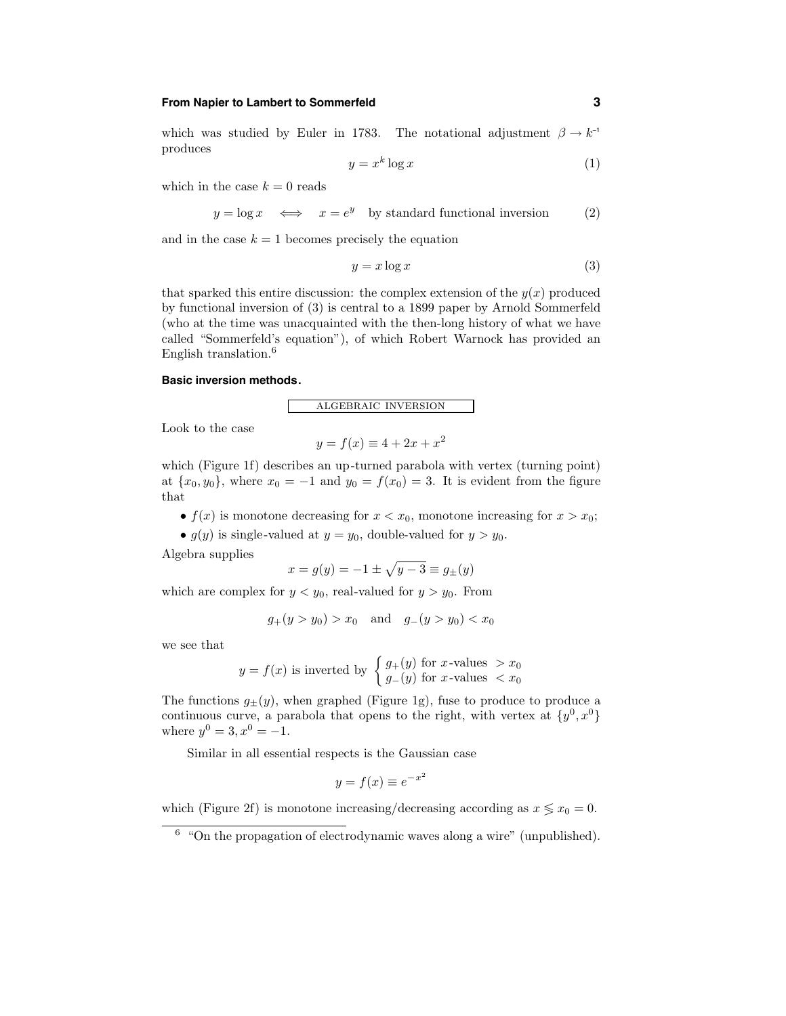## **From Napier to Lambert to Sommerfeld 3**

which was studied by Euler in 1783. The notational adjustment  $\beta \to k^{-1}$ produces

$$
y = x^k \log x \tag{1}
$$

which in the case  $k = 0$  reads

 $y = \log x \iff x = e^y$  by standard functional inversion (2)

and in the case  $k = 1$  becomes precisely the equation

$$
y = x \log x \tag{3}
$$

that sparked this entire discussion: the complex extension of the  $y(x)$  produced by functional inversion of (3) is central to a 1899 paper by Arnold Sommerfeld (who at the time was unacquainted with the then-long history of what we have called "Sommerfeld's equation"), of which Robert Warnock has provided an English translation.<sup>6</sup>

## **Basic inversion methods.**

algebraic inversion

Look to the case

$$
y = f(x) \equiv 4 + 2x + x^2
$$

which (Figure 1f) describes an up-turned parabola with vertex (turning point) at  $\{x_0, y_0\}$ , where  $x_0 = -1$  and  $y_0 = f(x_0) = 3$ . It is evident from the figure that

- $f(x)$  is monotone decreasing for  $x < x_0$ , monotone increasing for  $x > x_0$ ;
- $g(y)$  is single-valued at  $y = y_0$ , double-valued for  $y > y_0$ .

Algebra supplies

$$
x=g(y)=-1\pm\sqrt{y-3}\equiv g_\pm(y)
$$

which are complex for  $y < y_0$ , real-valued for  $y > y_0$ . From

$$
g_+(y > y_0) > x_0
$$
 and  $g_-(y > y_0) < x_0$ 

we see that

$$
y = f(x)
$$
 is inverted by 
$$
\begin{cases} g_{+}(y) \text{ for } x\text{-values } > x_0 \\ g_{-}(y) \text{ for } x\text{-values } < x_0 \end{cases}
$$

The functions  $g_{\pm}(y)$ , when graphed (Figure 1g), fuse to produce to produce a continuous curve, a parabola that opens to the right, with vertex at  $\{y^0, x^0\}$ where  $y^0 = 3, x^0 = -1$ .

Similar in all essential respects is the Gaussian case

$$
y = f(x) \equiv e^{-x^2}
$$

which (Figure 2f) is monotone increasing/decreasing according as  $x \leq x_0 = 0$ .

 $6$  "On the propagation of electrodynamic waves along a wire" (unpublished).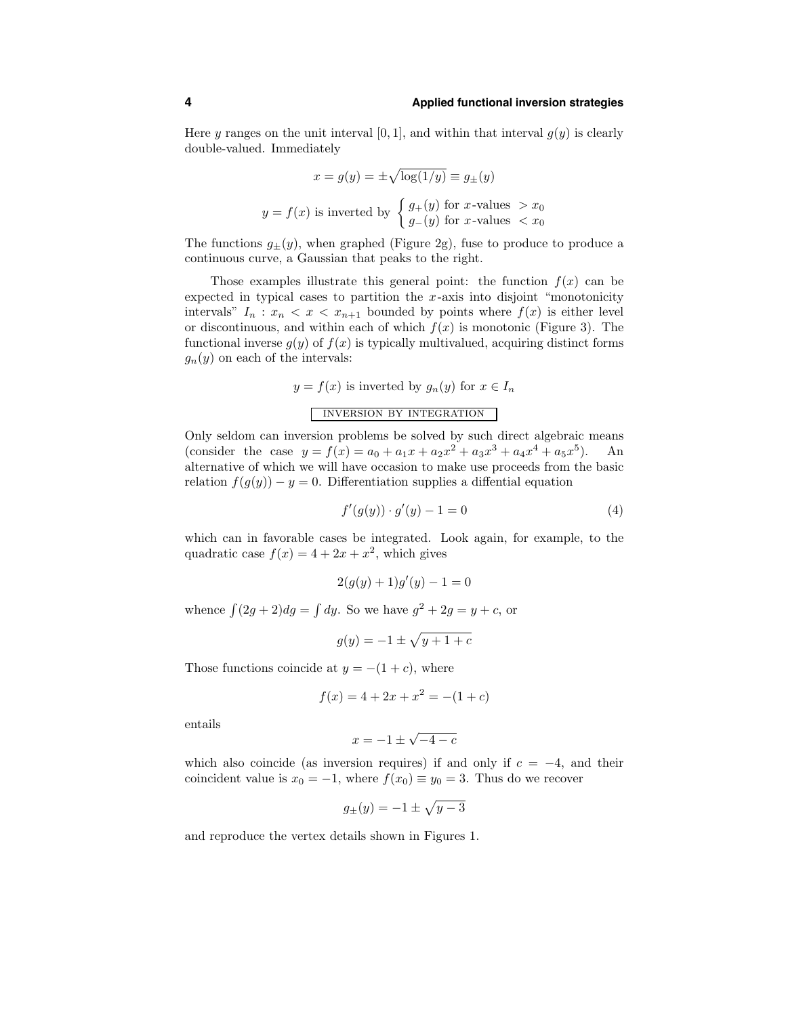Here y ranges on the unit interval  $[0, 1]$ , and within that interval  $g(y)$  is clearly double-valued. Immediately

$$
x = g(y) = \pm \sqrt{\log(1/y)} \equiv g_{\pm}(y)
$$
  

$$
y = f(x)
$$
 is inverted by 
$$
\begin{cases} g_{+}(y) \text{ for } x\text{-values } > x_{0} \\ g_{-}(y) \text{ for } x\text{-values } < x_{0} \end{cases}
$$

The functions  $g_{\pm}(y)$ , when graphed (Figure 2g), fuse to produce to produce a continuous curve, a Gaussian that peaks to the right.

Those examples illustrate this general point: the function  $f(x)$  can be expected in typical cases to partition the  $x$ -axis into disjoint "monotonicity" intervals"  $I_n : x_n < x < x_{n+1}$  bounded by points where  $f(x)$  is either level or discontinuous, and within each of which  $f(x)$  is monotonic (Figure 3). The functional inverse  $g(y)$  of  $f(x)$  is typically multivalued, acquiring distinct forms  $g_n(y)$  on each of the intervals:

$$
y = f(x)
$$
 is inverted by  $g_n(y)$  for  $x \in I_n$   
INVERSION BY INTEGRATION

Only seldom can inversion problems be solved by such direct algebraic means (consider the case  $y = f(x) = a_0 + a_1x + a_2x^2 + a_3x^3 + a_4x^4 + a_5x^5$ ). An alternative of which we will have occasion to make use proceeds from the basic relation  $f(g(y)) - y = 0$ . Differentiation supplies a diffential equation

$$
f'(g(y)) \cdot g'(y) - 1 = 0 \tag{4}
$$

which can in favorable cases be integrated. Look again, for example, to the quadratic case  $f(x) = 4 + 2x + x^2$ , which gives

$$
2(g(y) + 1)g'(y) - 1 = 0
$$

whence  $\int (2g+2)dg = \int dy$ . So we have  $g^2 + 2g = y + c$ , or

$$
g(y) = -1 \pm \sqrt{y+1+c}
$$

Those functions coincide at  $y = -(1+c)$ , where

$$
f(x) = 4 + 2x + x^2 = -(1 + c)
$$

entails

$$
x = -1 \pm \sqrt{-4 - c}
$$

which also coincide (as inversion requires) if and only if  $c = -4$ , and their coincident value is  $x_0 = -1$ , where  $f(x_0) \equiv y_0 = 3$ . Thus do we recover

$$
g_{\pm}(y) = -1 \pm \sqrt{y-3}
$$

and reproduce the vertex details shown in Figures 1.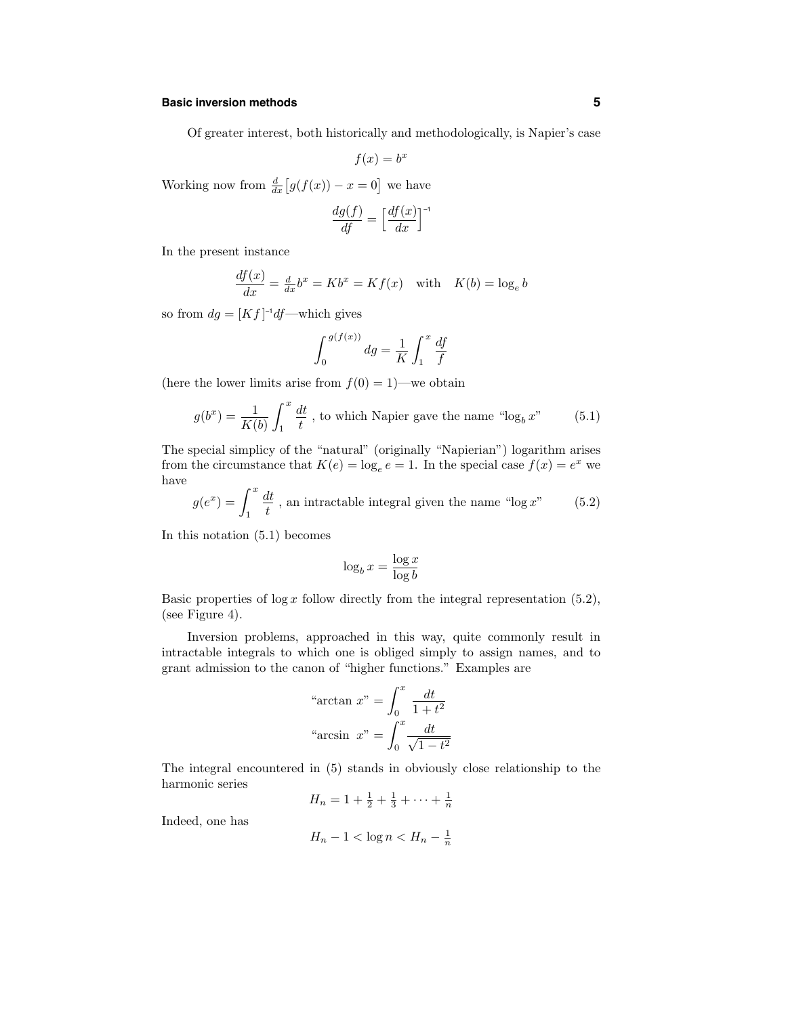## **Basic inversion methods 5**

Of greater interest, both historically and methodologically, is Napier's case

$$
f(x) = b^x
$$

Working now from  $\frac{d}{dx}[g(f(x)) - x = 0]$  we have

$$
\frac{dg(f)}{df} = \left[\frac{df(x)}{dx}\right]^{-1}
$$

In the present instance

$$
\frac{df(x)}{dx} = \frac{d}{dx}b^x = Kb^x = Kf(x) \quad \text{with} \quad K(b) = \log_e b
$$

so from  $dg = [Kf]^{-1}df$ —which gives

$$
\int_0^{g(f(x))} dg = \frac{1}{K} \int_1^x \frac{df}{f}
$$

(here the lower limits arise from  $f(0) = 1$ )—we obtain

$$
g(b^x) = \frac{1}{K(b)} \int_1^x \frac{dt}{t}
$$
, to which Napier gave the name "log<sub>b</sub> x" (5.1)

The special simplicy of the "natural" (originally "Napierian") logarithm arises from the circumstance that  $K(e) = \log_e e = 1$ . In the special case  $f(x) = e^x$  we have

$$
g(e^x) = \int_1^x \frac{dt}{t}
$$
, an intractable integral given the name "log x" (5.2)

In this notation (5.1) becomes

$$
\log_b x = \frac{\log x}{\log b}
$$

Basic properties of  $\log x$  follow directly from the integral representation (5.2), (see Figure 4).

Inversion problems, approached in this way, quite commonly result in intractable integrals to which one is obliged simply to assign names, and to grant admission to the canon of "higher functions." Examples are

"arctan 
$$
x
$$
" =  $\int_0^x \frac{dt}{1+t^2}$   
"arcsin  $x$ " =  $\int_0^x \frac{dt}{\sqrt{1-t^2}}$ 

The integral encountered in (5) stands in obviously close relationship to the harmonic series

$$
H_n = 1 + \frac{1}{2} + \frac{1}{3} + \dots + \frac{1}{n}
$$

Indeed, one has

$$
H_n - 1 < \log n < H_n - \frac{1}{n}
$$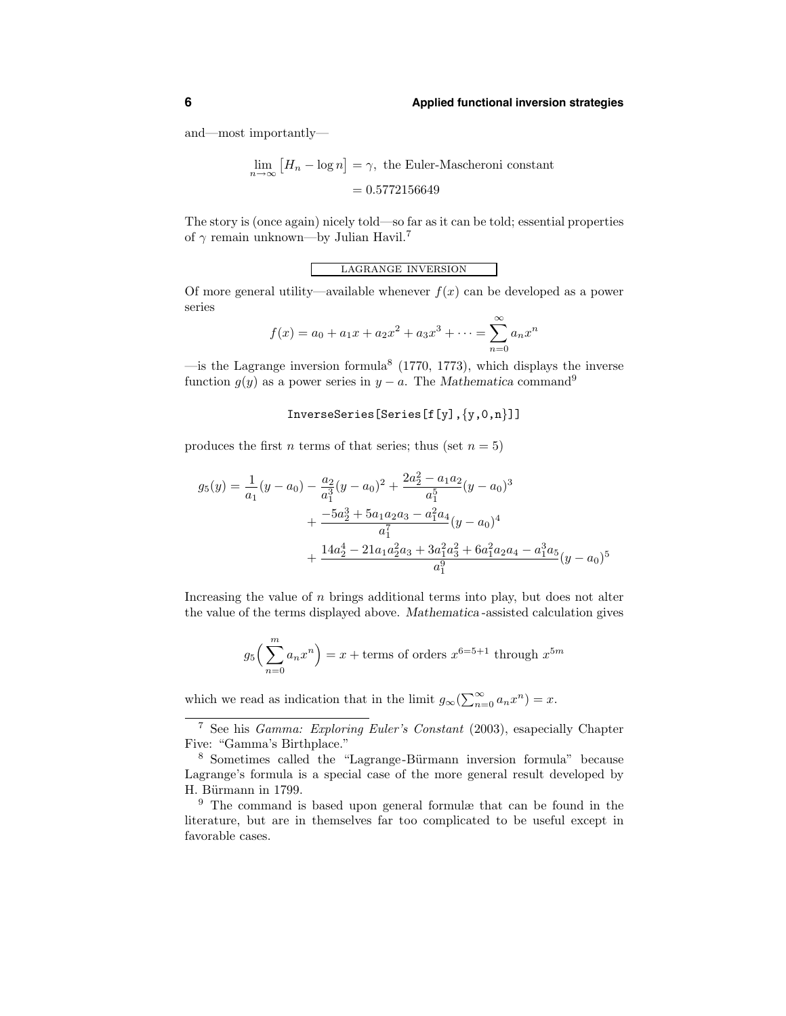and—most importantly—

$$
\lim_{n \to \infty} [H_n - \log n] = \gamma, \text{ the Euler-Mascheroni constant}
$$

$$
= 0.5772156649
$$

The story is (once again) nicely told—so far as it can be told; essential properties of  $\gamma$  remain unknown—by Julian Havil.<sup>7</sup>

lagrange inversion

Of more general utility—available whenever  $f(x)$  can be developed as a power series

$$
f(x) = a_0 + a_1x + a_2x^2 + a_3x^3 + \dots = \sum_{n=0}^{\infty} a_n x^n
$$

—is the Lagrange inversion formula<sup>8</sup> (1770, 1773), which displays the inverse function  $g(y)$  as a power series in  $y - a$ . The Mathematica command<sup>9</sup>

### InverseSeries[Series[f[y],{y,0,n}]]

produces the first *n* terms of that series; thus (set  $n = 5$ )

$$
g_5(y) = \frac{1}{a_1}(y - a_0) - \frac{a_2}{a_1^3}(y - a_0)^2 + \frac{2a_2^2 - a_1a_2}{a_1^5}(y - a_0)^3 + \frac{-5a_2^3 + 5a_1a_2a_3 - a_1^2a_4}{a_1^7}(y - a_0)^4 + \frac{14a_2^4 - 21a_1a_2^2a_3 + 3a_1^2a_3^2 + 6a_1^2a_2a_4 - a_1^3a_5}{a_1^9}(y - a_0)^5
$$

Increasing the value of  $n$  brings additional terms into play, but does not alter the value of the terms displayed above. Mathematica -assisted calculation gives

$$
g_5\left(\sum_{n=0}^m a_n x^n\right) = x + \text{terms of orders } x^{6-5+1} \text{ through } x^{5m}
$$

which we read as indication that in the limit  $g_{\infty}(\sum_{n=0}^{\infty} a_n x^n) = x$ .

<sup>7</sup> See his Gamma: Exploring Euler's Constant (2003), esapecially Chapter Five: "Gamma's Birthplace."

<sup>&</sup>lt;sup>8</sup> Sometimes called the "Lagrange-Bürmann inversion formula" because Lagrange's formula is a special case of the more general result developed by H. Bürmann in 1799.

<sup>9</sup> The command is based upon general formulæ that can be found in the literature, but are in themselves far too complicated to be useful except in favorable cases.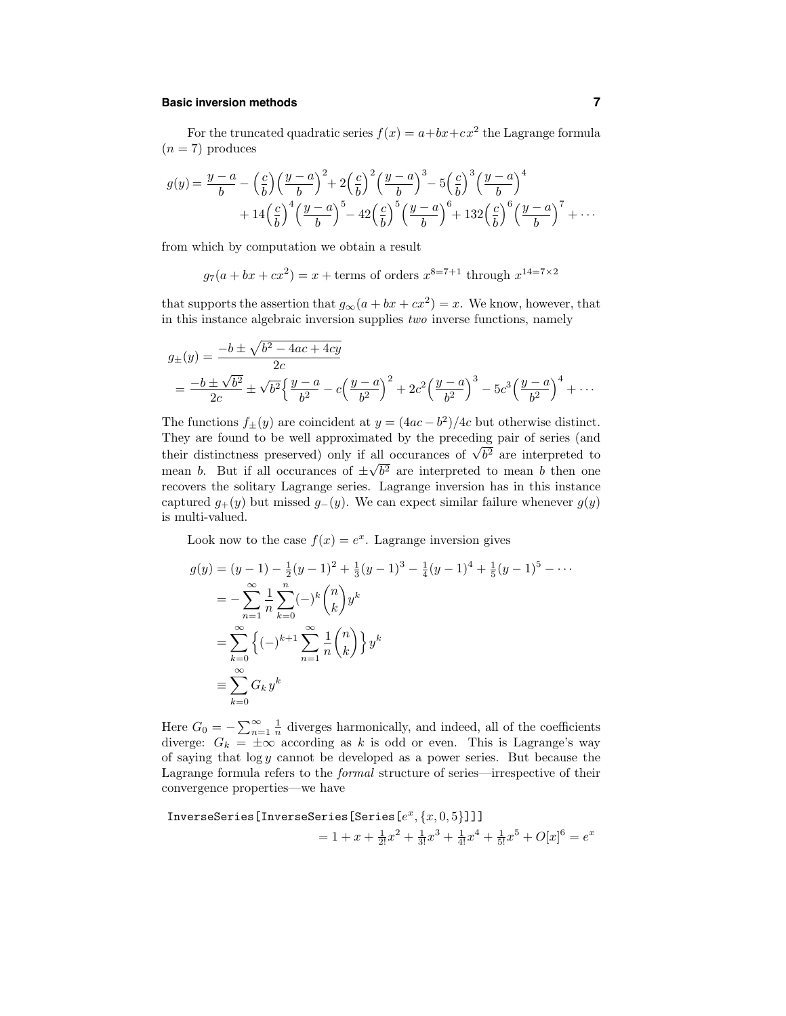## **Basic inversion methods 7**

For the truncated quadratic series  $f(x) = a + bx + cx^2$  the Lagrange formula  $(n = 7)$  produces

$$
g(y) = \frac{y-a}{b} - \left(\frac{c}{b}\right)\left(\frac{y-a}{b}\right)^2 + 2\left(\frac{c}{b}\right)^2\left(\frac{y-a}{b}\right)^3 - 5\left(\frac{c}{b}\right)^3\left(\frac{y-a}{b}\right)^4 + 14\left(\frac{c}{b}\right)^4\left(\frac{y-a}{b}\right)^5 - 42\left(\frac{c}{b}\right)^5\left(\frac{y-a}{b}\right)^6 + 132\left(\frac{c}{b}\right)^6\left(\frac{y-a}{b}\right)^7 + \cdots
$$

from which by computation we obtain a result

 $g_7(a + bx + cx^2) = x + \text{terms of orders } x^{8=7+1} \text{ through } x^{14=7\times2}$ 

that supports the assertion that  $g_{\infty}(a + bx + cx^2) = x$ . We know, however, that in this instance algebraic inversion supplies two inverse functions, namely

$$
g_{\pm}(y) = \frac{-b \pm \sqrt{b^2 - 4ac + 4cy}}{2c}
$$
  
=  $\frac{-b \pm \sqrt{b^2}}{2c} \pm \sqrt{b^2} \left\{ \frac{y - a}{b^2} - c \left( \frac{y - a}{b^2} \right)^2 + 2c^2 \left( \frac{y - a}{b^2} \right)^3 - 5c^3 \left( \frac{y - a}{b^2} \right)^4 + \cdots$ 

The functions  $f_{\pm}(y)$  are coincident at  $y = (4ac - b^2)/4c$  but otherwise distinct. They are found to be well approximated by the preceding pair of series (and their distinctness preserved) only if all occurances of  $\sqrt{b^2}$  are interpreted to mean b. But if all occurances of  $\pm\sqrt{b^2}$  are interpreted to mean b then one recovers the solitary Lagrange series. Lagrange inversion has in this instance captured  $g_{+}(y)$  but missed  $g_{-}(y)$ . We can expect similar failure whenever  $g(y)$ is multi-valued.

Look now to the case  $f(x) = e^x$ . Lagrange inversion gives

$$
g(y) = (y - 1) - \frac{1}{2}(y - 1)^2 + \frac{1}{3}(y - 1)^3 - \frac{1}{4}(y - 1)^4 + \frac{1}{5}(y - 1)^5 - \cdots
$$
  
\n
$$
= -\sum_{n=1}^{\infty} \frac{1}{n} \sum_{k=0}^{n} (-)^k {n \choose k} y^k
$$
  
\n
$$
= \sum_{k=0}^{\infty} \left\{ (-)^{k+1} \sum_{n=1}^{\infty} \frac{1}{n} {n \choose k} \right\} y^k
$$
  
\n
$$
\equiv \sum_{k=0}^{\infty} G_k y^k
$$

Here  $G_0 = -\sum_{n=1}^{\infty} \frac{1}{n}$  diverges harmonically, and indeed, all of the coefficients diverge:  $G_k = \pm \infty$  according as k is odd or even. This is Lagrange's way of saying that  $\log y$  cannot be developed as a power series. But because the Lagrange formula refers to the formal structure of series—irrespective of their convergence properties—we have

InverseSeries[InverseSeries[Series [e<sup>x</sup>, {x, 0, 5}]]]  
= 1 + x + 
$$
\frac{1}{2!}x^2 + \frac{1}{3!}x^3 + \frac{1}{4!}x^4 + \frac{1}{5!}x^5 + O[x]^6 = e^x
$$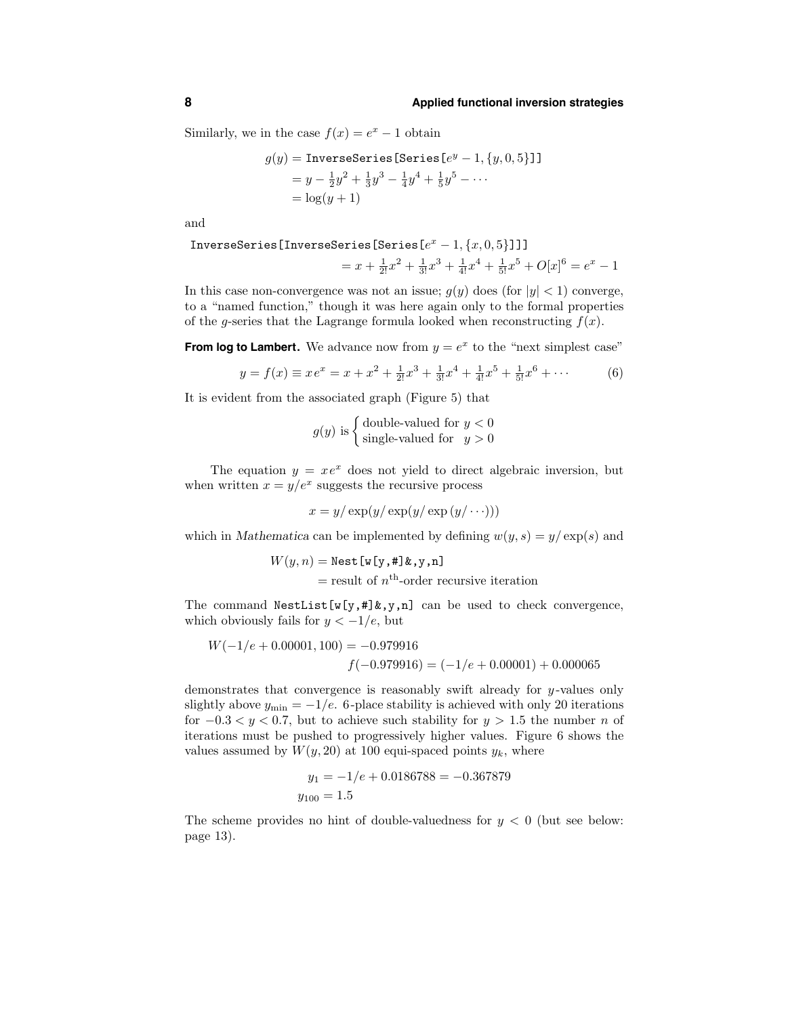Similarly, we in the case  $f(x) = e^x - 1$  obtain

$$
g(y) = \text{InverseSeries}[\text{Series } [e^y - 1, \{y, 0, 5\}]]
$$
  
=  $y - \frac{1}{2}y^2 + \frac{1}{3}y^3 - \frac{1}{4}y^4 + \frac{1}{5}y^5 - \cdots$   
=  $\log(y + 1)$ 

and

InverseSeries[InverseSeries[Series [
$$
e^x - 1, \{x, 0, 5\}
$$
]]]  
=  $x + \frac{1}{2!}x^2 + \frac{1}{3!}x^3 + \frac{1}{4!}x^4 + \frac{1}{5!}x^5 + O[x]^6 = e^x - 1$ 

In this case non-convergence was not an issue;  $g(y)$  does (for  $|y| < 1$ ) converge, to a "named function," though it was here again only to the formal properties of the g-series that the Lagrange formula looked when reconstructing  $f(x)$ .

**From log to Lambert.** We advance now from  $y = e^x$  to the "next simplest case"

$$
y = f(x) \equiv xe^x = x + x^2 + \frac{1}{2!}x^3 + \frac{1}{3!}x^4 + \frac{1}{4!}x^5 + \frac{1}{5!}x^6 + \cdots
$$
 (6)

It is evident from the associated graph (Figure 5) that

 $g(y)$  is  $\begin{cases}$  double-valued for  $y < 0$ single-valued for  $y > 0$ 

The equation  $y = xe^x$  does not yield to direct algebraic inversion, but when written  $x = y/e^x$  suggests the recursive process

 $x = y/\exp(y/\exp(y/\exp(y/\cdots)))$ 

which in Mathematica can be implemented by defining  $w(y, s) = y/\exp(s)$  and

$$
W(y, n) = \text{Nest}[\mathbf{w}[\mathbf{y}, \mathbf{\#}]\mathbf{\&}, \mathbf{y}, \mathbf{n}]
$$
  
= result of  $n^{\text{th}}$ -order recursive iteration

The command NestList  $[w[y, #] & y, n]$  can be used to check convergence, which obviously fails for  $y < -1/e$ , but

$$
W(-1/e + 0.00001, 100) = -0.979916
$$
  

$$
f(-0.979916) = (-1/e + 0.00001) + 0.000065
$$

demonstrates that convergence is reasonably swift already for y-values only slightly above  $y_{\text{min}} = -1/e$ . 6-place stability is achieved with only 20 iterations for  $-0.3 < y < 0.7$ , but to achieve such stability for  $y > 1.5$  the number n of iterations must be pushed to progressively higher values. Figure 6 shows the values assumed by  $W(y, 20)$  at 100 equi-spaced points  $y_k$ , where

$$
y_1 = -1/e + 0.0186788 = -0.367879
$$
  

$$
y_{100} = 1.5
$$

The scheme provides no hint of double-valuedness for  $y < 0$  (but see below: page 13).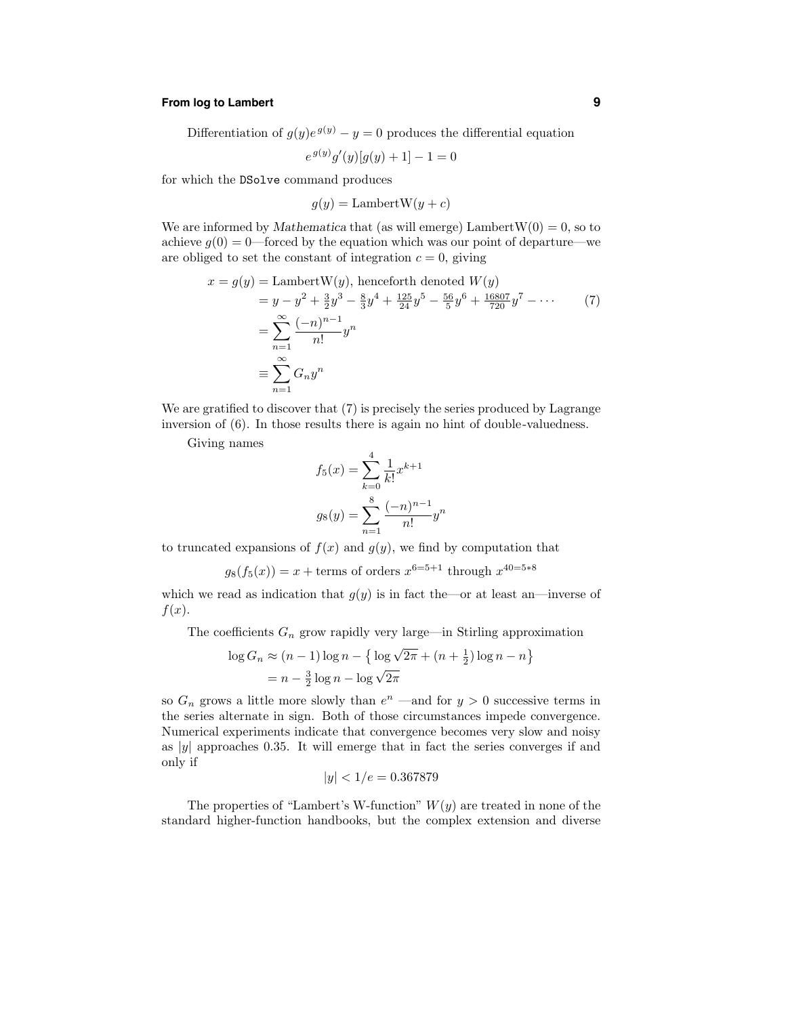## **From log to Lambert 9**

Differentiation of  $g(y)e^{g(y)} - y = 0$  produces the differential equation

$$
e^{g(y)}g'(y)[g(y)+1]-1=0
$$

for which the DSolve command produces

 $g(y) =$ LambertW $(y + c)$ 

We are informed by Mathematica that (as will emerge) Lambert  $W(0) = 0$ , so to achieve  $q(0) = 0$ —forced by the equation which was our point of departure—we are obliged to set the constant of integration  $c = 0$ , giving

$$
x = g(y) = \text{LambertW}(y), \text{ henceforth denoted } W(y)
$$
  
=  $y - y^2 + \frac{3}{2}y^3 - \frac{8}{3}y^4 + \frac{125}{24}y^5 - \frac{56}{5}y^6 + \frac{16807}{720}y^7 - \cdots$  (7)  
=  $\sum_{n=1}^{\infty} \frac{(-n)^{n-1}}{n!} y^n$   
 $\equiv \sum_{n=1}^{\infty} G_n y^n$ 

We are gratified to discover that  $(7)$  is precisely the series produced by Lagrange inversion of (6). In those results there is again no hint of double-valuedness.

Giving names

$$
f_5(x) = \sum_{k=0}^{4} \frac{1}{k!} x^{k+1}
$$

$$
g_8(y) = \sum_{n=1}^{8} \frac{(-n)^{n-1}}{n!} y^n
$$

to truncated expansions of  $f(x)$  and  $g(y)$ , we find by computation that

$$
g_8(f_5(x)) = x +
$$
 terms of orders  $x^{6=5+1}$  through  $x^{40=5*8}$ 

which we read as indication that  $g(y)$  is in fact the—or at least an—inverse of  $f(x)$ .

The coefficients  $G_n$  grow rapidly very large—in Stirling approximation

$$
\log G_n \approx (n-1)\log n - \left\{\log\sqrt{2\pi} + (n+\frac{1}{2})\log n - n\right\}
$$

$$
= n - \frac{3}{2}\log n - \log\sqrt{2\pi}
$$

so  $G_n$  grows a little more slowly than  $e^n$  —and for  $y > 0$  successive terms in the series alternate in sign. Both of those circumstances impede convergence. Numerical experiments indicate that convergence becomes very slow and noisy as  $|y|$  approaches 0.35. It will emerge that in fact the series converges if and only if

$$
|y| < 1/e = 0.367879
$$

The properties of "Lambert's W-function"  $W(y)$  are treated in none of the standard higher-function handbooks, but the complex extension and diverse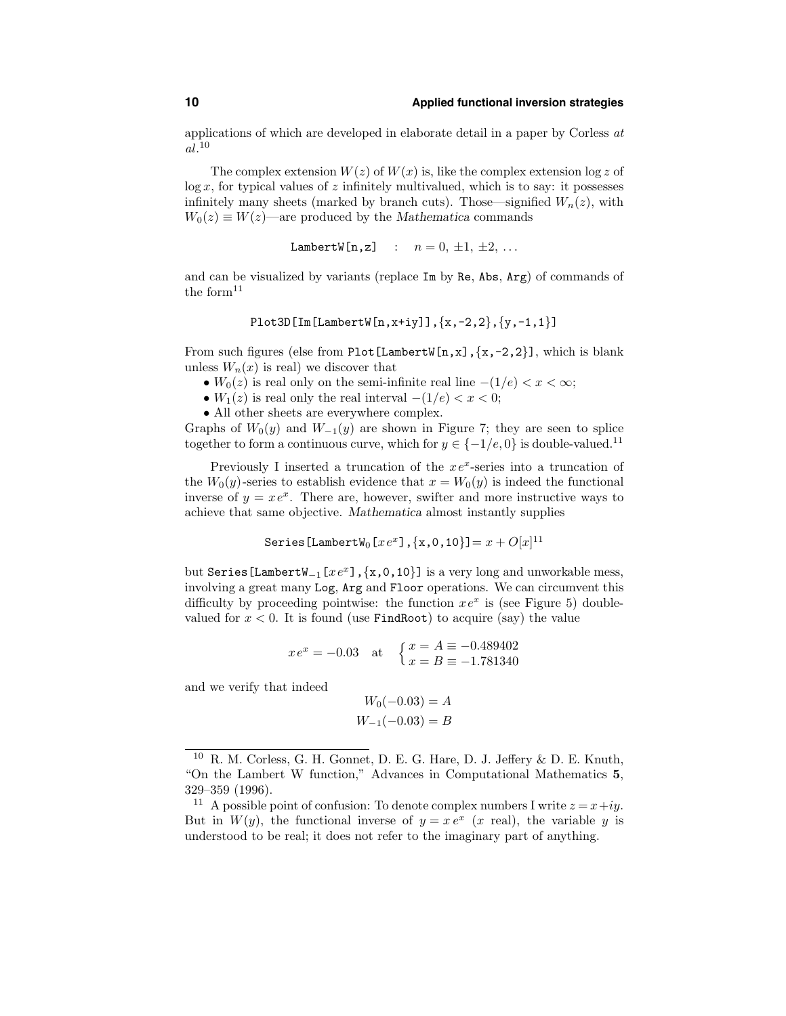applications of which are developed in elaborate detail in a paper by Corless at  $al.^{10}$ 

The complex extension  $W(z)$  of  $W(x)$  is, like the complex extension log z of  $\log x$ , for typical values of z infinitely multivalued, which is to say: it possesses infinitely many sheets (marked by branch cuts). Those—signified  $W_n(z)$ , with  $W_0(z) \equiv W(z)$ —are produced by the Mathematica commands

$$
LambertW[n,z] : n = 0, \pm 1, \pm 2, \ldots
$$

and can be visualized by variants (replace Im by Re, Abs, Arg) of commands of the form $^{11}$ 

$$
\verb!Plot3D[Im[LambertW[n,x+iy]], {x,-2,2}, {y,-1,1}]]
$$

From such figures (else from Plot [LambertW[n,x], $\{x,-2,2\}$ ], which is blank unless  $W_n(x)$  is real) we discover that

- $W_0(z)$  is real only on the semi-infinite real line  $-(1/e) < x < \infty$ ;
- $W_1(z)$  is real only the real interval  $-(1/e) < x < 0$ ;
- All other sheets are everywhere complex.

Graphs of  $W_0(y)$  and  $W_{-1}(y)$  are shown in Figure 7; they are seen to splice together to form a continuous curve, which for  $y \in \{-1/e, 0\}$  is double-valued.<sup>11</sup>

Previously I inserted a truncation of the  $xe^x$ -series into a truncation of the  $W_0(y)$ -series to establish evidence that  $x = W_0(y)$  is indeed the functional inverse of  $y = xe^x$ . There are, however, swifter and more instructive ways to achieve that same objective. Mathematica almost instantly supplies

Series [LambertW<sub>0</sub> [
$$
xe^x
$$
], { $x$ ,0,10}]]=  $x$  +  $O[x]$ <sup>11</sup>

but Series[LambertW<sub>-1</sub>[ $xe^x$ ], {x,0,10}] is a very long and unworkable mess, involving a great many Log, Arg and Floor operations. We can circumvent this difficulty by proceeding pointwise: the function  $xe^{x}$  is (see Figure 5) doublevalued for  $x < 0$ . It is found (use FindRoot) to acquire (say) the value

$$
xe^x = -0.03
$$
 at  $\begin{cases} x = A \equiv -0.489402 \\ x = B \equiv -1.781340 \end{cases}$ 

and we verify that indeed

$$
W_0(-0.03) = A
$$
  

$$
W_{-1}(-0.03) = B
$$

 $10$  R. M. Corless, G. H. Gonnet, D. E. G. Hare, D. J. Jeffery & D. E. Knuth, "On the Lambert W function," Advances in Computational Mathematics 5, 329–359 (1996).

<sup>&</sup>lt;sup>11</sup> A possible point of confusion: To denote complex numbers I write  $z = x+iy$ . But in  $W(y)$ , the functional inverse of  $y = x e^x$  (x real), the variable y is understood to be real; it does not refer to the imaginary part of anything.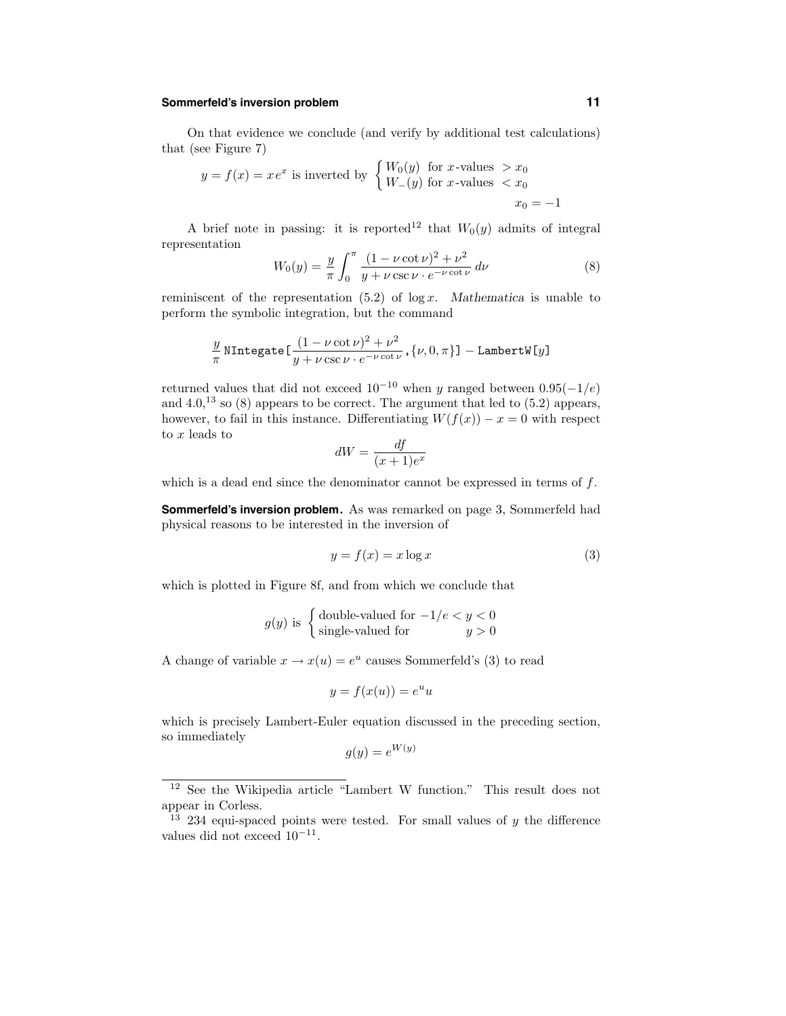## **Sommerfeld's inversion problem 11**

On that evidence we conclude (and verify by additional test calculations) that (see Figure 7)

$$
y = f(x) = xe^{x}
$$
 is inverted by 
$$
\begin{cases} W_0(y) & \text{for } x \text{-values } > x_0 \\ W_-(y) & \text{for } x \text{-values } < x_0 \end{cases}
$$

$$
x_0 = -1
$$

A brief note in passing: it is reported<sup>12</sup> that  $W_0(y)$  admits of integral representation

$$
W_0(y) = \frac{y}{\pi} \int_0^{\pi} \frac{(1 - \nu \cot \nu)^2 + \nu^2}{y + \nu \csc \nu \cdot e^{-\nu \cot \nu}} d\nu
$$
 (8)

reminiscent of the representation  $(5.2)$  of  $\log x$ . Mathematica is unable to perform the symbolic integration, but the command

$$
\frac{y}{\pi} \text{ NIntegrate} \left[ \frac{(1 - \nu \cot \nu)^2 + \nu^2}{y + \nu \csc \nu \cdot e^{-\nu \cot \nu}}, \{\nu, 0, \pi\} \right] - \text{LambertW}[y]
$$

returned values that did not exceed  $10^{-10}$  when y ranged between  $0.95(-1/e)$ and  $4.0$ ,<sup>13</sup> so  $(8)$  appears to be correct. The argument that led to  $(5.2)$  appears, however, to fail in this instance. Differentiating  $W(f(x)) - x = 0$  with respect to x leads to

$$
dW = \frac{df}{(x+1)e^x}
$$

which is a dead end since the denominator cannot be expressed in terms of  $f$ .

**Sommerfeld's inversion problem.** As was remarked on page 3, Sommerfeld had physical reasons to be interested in the inversion of

$$
y = f(x) = x \log x \tag{3}
$$

which is plotted in Figure 8f, and from which we conclude that

$$
g(y)
$$
 is   
{double-valued for  $-1/e < y < 0$   
single-valued for  $y > 0$ 

A change of variable  $x \to x(u) = e^u$  causes Sommerfeld's (3) to read

$$
y = f(x(u)) = e^u u
$$

which is precisely Lambert-Euler equation discussed in the preceding section, so immediately

$$
g(y) = e^{W(y)}
$$

<sup>12</sup> See the Wikipedia article "Lambert W function." This result does not appear in Corless.

 $\frac{13}{13}$  234 equi-spaced points were tested. For small values of y the difference values did not exceed  $10^{-11}$ .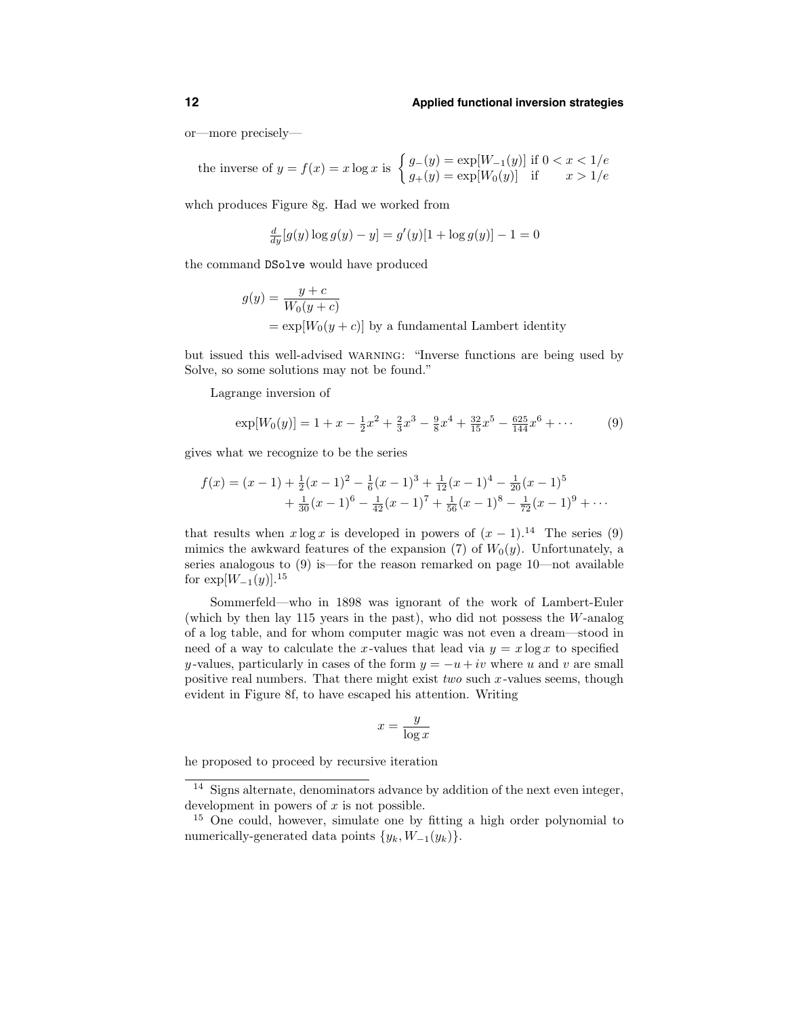or—more precisely—

the inverse of 
$$
y = f(x) = x \log x
$$
 is  $\begin{cases} g_{-}(y) = \exp[W_{-1}(y)] \text{ if } 0 < x < 1/e \\ g_{+}(y) = \exp[W_{0}(y)] \text{ if } x > 1/e \end{cases}$ 

whch produces Figure 8g. Had we worked from

$$
\frac{d}{dy}[g(y)\log g(y) - y] = g'(y)[1 + \log g(y)] - 1 = 0
$$

the command DSolve would have produced

$$
g(y) = \frac{y+c}{W_0(y+c)}
$$
  
= exp[W<sub>0</sub>(y + c)] by a fundamental Lambert identity

but issued this well-advised warning: "Inverse functions are being used by Solve, so some solutions may not be found."

Lagrange inversion of

$$
\exp[W_0(y)] = 1 + x - \frac{1}{2}x^2 + \frac{2}{3}x^3 - \frac{9}{8}x^4 + \frac{32}{15}x^5 - \frac{625}{144}x^6 + \cdots
$$
 (9)

gives what we recognize to be the series

$$
f(x) = (x - 1) + \frac{1}{2}(x - 1)^2 - \frac{1}{6}(x - 1)^3 + \frac{1}{12}(x - 1)^4 - \frac{1}{20}(x - 1)^5
$$
  
+ 
$$
\frac{1}{30}(x - 1)^6 - \frac{1}{42}(x - 1)^7 + \frac{1}{56}(x - 1)^8 - \frac{1}{72}(x - 1)^9 + \cdots
$$

that results when  $x \log x$  is developed in powers of  $(x - 1)^{14}$ . The series (9) mimics the awkward features of the expansion (7) of  $W_0(y)$ . Unfortunately, a series analogous to (9) is—for the reason remarked on page 10—not available for  $\exp[W_{-1}(y)]^{15}$ 

Sommerfeld—who in 1898 was ignorant of the work of Lambert-Euler (which by then lay 115 years in the past), who did not possess the W-analog of a log table, and for whom computer magic was not even a dream—stood in need of a way to calculate the x-values that lead via  $y = x \log x$  to specified y-values, particularly in cases of the form  $y = -u + iv$  where u and v are small positive real numbers. That there might exist two such  $x$ -values seems, though evident in Figure 8f, to have escaped his attention. Writing

$$
x = \frac{y}{\log x}
$$

he proposed to proceed by recursive iteration

<sup>&</sup>lt;sup>14</sup> Signs alternate, denominators advance by addition of the next even integer, development in powers of  $x$  is not possible.

<sup>15</sup> One could, however, simulate one by fitting a high order polynomial to numerically-generated data points  $\{y_k, W_{-1}(y_k)\}.$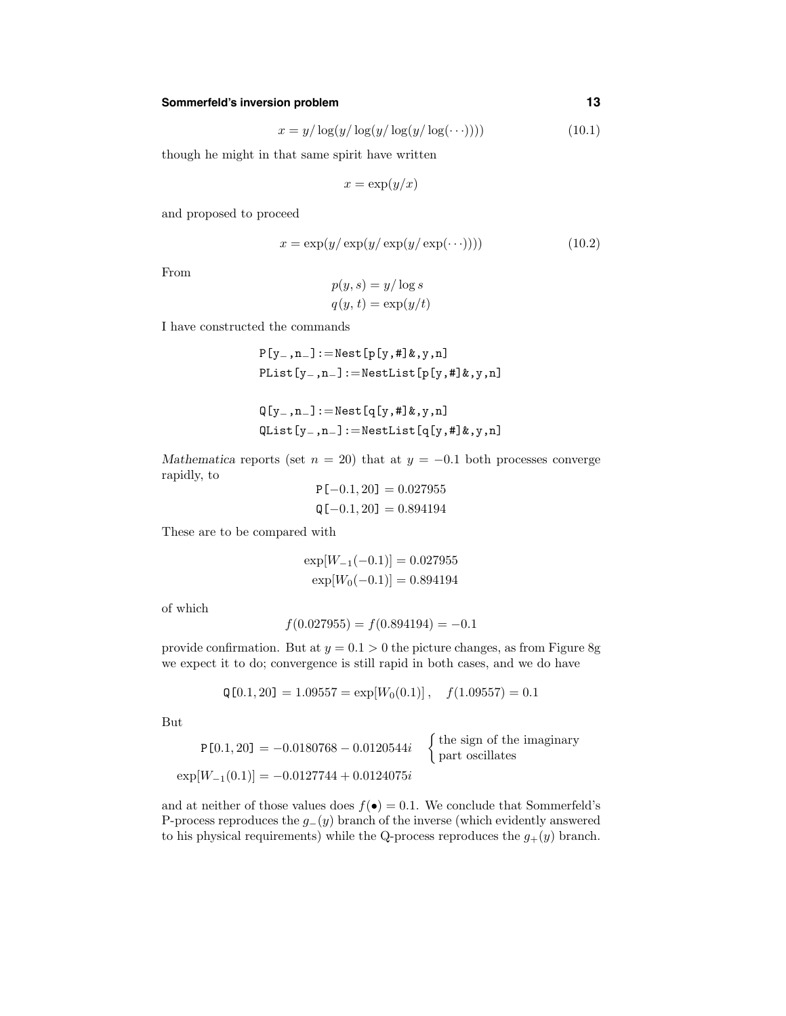## **Sommerfeld's inversion problem 13**

$$
x = y/\log(y/\log(y/\log(y/\log(\cdots))))\tag{10.1}
$$

though he might in that same spirit have written

$$
x = \exp(y/x)
$$

and proposed to proceed

$$
x = \exp(y/\exp(y/\exp(y/\exp(\cdots)))) \tag{10.2}
$$

From

$$
p(y, s) = y/\log s
$$

$$
q(y, t) = \exp(y/t)
$$

I have constructed the commands

$$
P[y_-, n_]: = \text{Nest}[p[y, #]k, y, n]
$$
  
Plist[y\_-, n\_]: = \text{NestList}[p[y, #]k, y, n]

$$
Q[y_-,n_-] := \text{Nest}[q[y,\#]\&y,n]
$$
  
QList[y\_-,n\_-] := \text{NestList}[q[y,\#]\&y,n]

Mathematica reports (set  $n = 20$ ) that at  $y = -0.1$  both processes converge rapidly, to

$$
P[-0.1, 20] = 0.027955
$$
  

$$
Q[-0.1, 20] = 0.894194
$$

These are to be compared with

$$
\exp[W_{-1}(-0.1)] = 0.027955
$$
  
\n
$$
\exp[W_0(-0.1)] = 0.894194
$$

of which

$$
f(0.027955) = f(0.894194) = -0.1
$$

provide confirmation. But at  $y = 0.1 > 0$  the picture changes, as from Figure 8g we expect it to do; convergence is still rapid in both cases, and we do have

$$
Q[0.1, 20] = 1.09557 = \exp[W_0(0.1)], \quad f(1.09557) = 0.1
$$

But

$$
P[0.1, 20] = -0.0180768 - 0.0120544i \quad \begin{cases} \text{the sign of the imaginary} \\ \text{part oscillates} \end{cases}
$$

$$
\exp[W_{-1}(0.1)] = -0.0127744 + 0.0124075i
$$

and at neither of those values does  $f(\bullet) = 0.1$ . We conclude that Sommerfeld's P-process reproduces the  $g_-(y)$  branch of the inverse (which evidently answered to his physical requirements) while the Q-process reproduces the  $g_{+}(y)$  branch.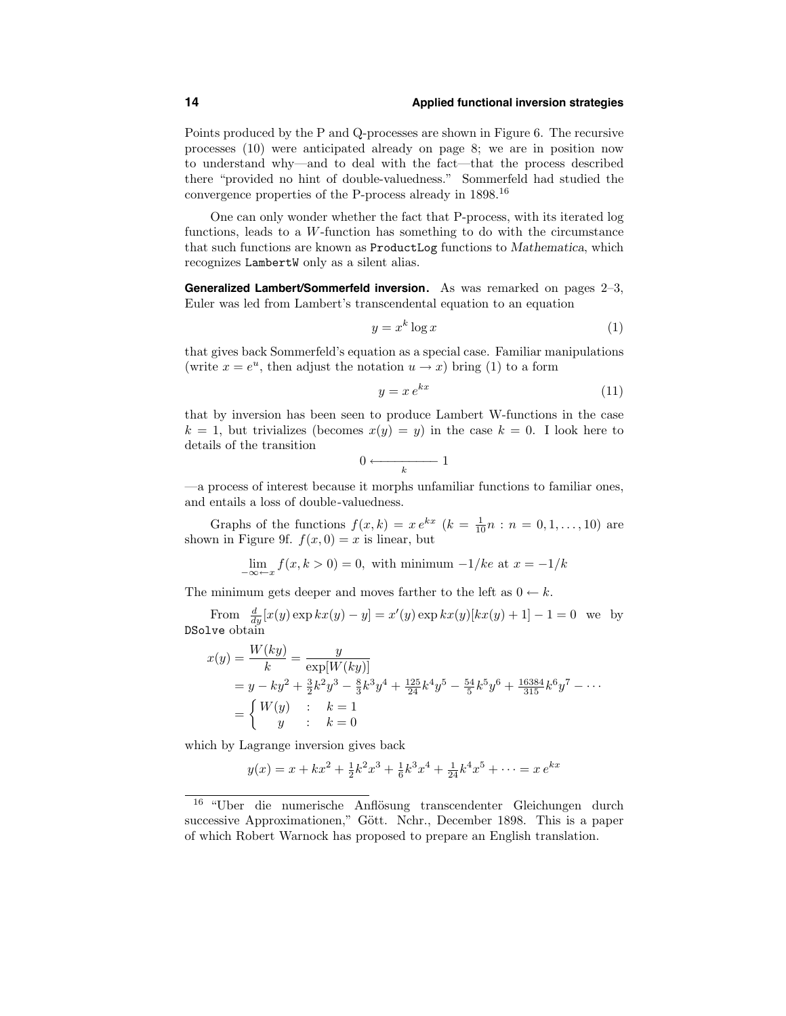Points produced by the P and Q-processes are shown in Figure 6. The recursive processes (10) were anticipated already on page 8; we are in position now to understand why—and to deal with the fact—that the process described there "provided no hint of double-valuedness." Sommerfeld had studied the convergence properties of the P-process already in 1898.<sup>16</sup>

One can only wonder whether the fact that P-process, with its iterated log functions, leads to a W-function has something to do with the circumstance that such functions are known as ProductLog functions to Mathematica, which recognizes LambertW only as a silent alias.

**Generalized Lambert/Sommerfeld inversion.** As was remarked on pages 2–3, Euler was led from Lambert's transcendental equation to an equation

$$
y = x^k \log x \tag{1}
$$

that gives back Sommerfeld's equation as a special case. Familiar manipulations (write  $x = e^u$ , then adjust the notation  $u \to x$ ) bring (1) to a form

$$
y = x e^{kx} \tag{11}
$$

that by inversion has been seen to produce Lambert W-functions in the case  $k = 1$ , but trivializes (becomes  $x(y) = y$ ) in the case  $k = 0$ . I look here to details of the transition

$$
0 \longleftarrow \hspace{-2.5em} \cdot \hspace{2.5em} \cdots \hspace{2.5em} \hspace{2.5em} \hspace{2.5em} 1
$$

—a process of interest because it morphs unfamiliar functions to familiar ones, and entails a loss of double-valuedness.

Graphs of the functions  $f(x,k) = x e^{kx}$   $(k = \frac{1}{10}n : n = 0, 1, ..., 10)$  are shown in Figure 9f.  $f(x, 0) = x$  is linear, but

$$
\lim_{-\infty \leftarrow x} f(x, k > 0) = 0
$$
, with minimum  $-1/ke$  at  $x = -1/k$ 

The minimum gets deeper and moves farther to the left as  $0 \leftarrow k$ .

From  $\frac{d}{dy}[x(y) \exp kx(y) - y] = x'(y) \exp kx(y)[kx(y) + 1] - 1 = 0$  we by DSolve obtain

$$
x(y) = \frac{W(ky)}{k} = \frac{y}{\exp[W(ky)]}
$$
  
=  $y - ky^2 + \frac{3}{2}k^2y^3 - \frac{8}{3}k^3y^4 + \frac{125}{24}k^4y^5 - \frac{54}{5}k^5y^6 + \frac{16384}{315}k^6y^7 - \cdots$   
= 
$$
\begin{cases} W(y) & ; \quad k = 1 \\ y & ; \quad k = 0 \end{cases}
$$

which by Lagrange inversion gives back

$$
y(x) = x + kx^{2} + \frac{1}{2}k^{2}x^{3} + \frac{1}{6}k^{3}x^{4} + \frac{1}{24}k^{4}x^{5} + \dots = x e^{kx}
$$

<sup>&</sup>lt;sup>16</sup> "Uber die numerische Anflösung transcendenter Gleichungen durch successive Approximationen," Gött. Nchr., December 1898. This is a paper of which Robert Warnock has proposed to prepare an English translation.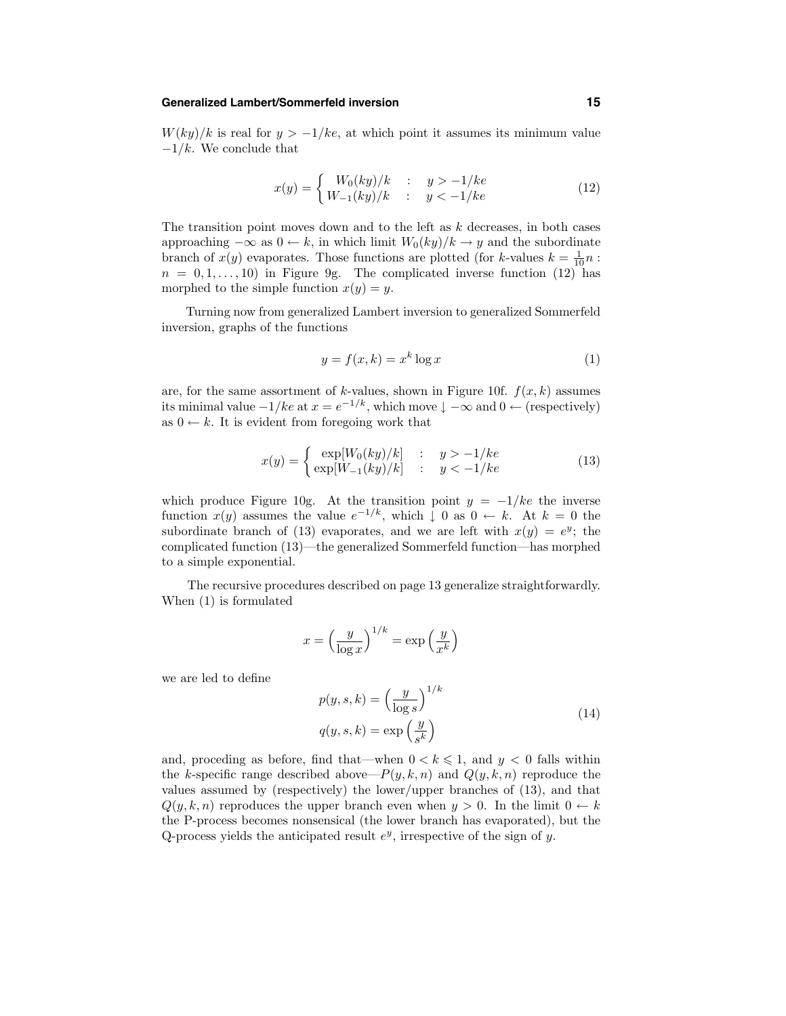#### **Generalized Lambert/Sommerfeld inversion 15**

 $W(ky)/k$  is real for  $y > -1/ke$ , at which point it assumes its minimum value  $-1/k$ . We conclude that

$$
x(y) = \begin{cases} W_0(ky)/k & \text{: } y > -1/ke \\ W_{-1}(ky)/k & \text{: } y < -1/ke \end{cases}
$$
 (12)

The transition point moves down and to the left as  $k$  decreases, in both cases approaching  $-\infty$  as  $0 \leftarrow k$ , in which limit  $W_0(ky)/k \rightarrow y$  and the subordinate branch of  $x(y)$  evaporates. Those functions are plotted (for k-values  $k = \frac{1}{10}n$ :  $n = 0, 1, \ldots, 10$  in Figure 9g. The complicated inverse function (12) has morphed to the simple function  $x(y) = y$ .

Turning now from generalized Lambert inversion to generalized Sommerfeld inversion, graphs of the functions

$$
y = f(x, k) = x^k \log x \tag{1}
$$

are, for the same assortment of k-values, shown in Figure 10f.  $f(x, k)$  assumes its minimal value  $-1/ke$  at  $x = e^{-1/k}$ , which move  $\downarrow -\infty$  and  $0 \leftarrow$  (respectively) as  $0 \leftarrow k$ . It is evident from foregoing work that

$$
x(y) = \begin{cases} \exp[W_0(ky)/k] & : y > -1/ke\\ \exp[W_{-1}(ky)/k] & : y < -1/ke \end{cases} \tag{13}
$$

which produce Figure 10g. At the transition point  $y = -1/ke$  the inverse function  $x(y)$  assumes the value  $e^{-1/k}$ , which  $\downarrow 0$  as  $0 \leftarrow k$ . At  $k = 0$  the subordinate branch of (13) evaporates, and we are left with  $x(y) = e^y$ ; the complicated function (13)—the generalized Sommerfeld function—has morphed to a simple exponential.

The recursive procedures described on page 13 generalize straightforwardly. When (1) is formulated

$$
x = \left(\frac{y}{\log x}\right)^{1/k} = \exp\left(\frac{y}{x^k}\right)
$$

we are led to define

$$
p(y, s, k) = \left(\frac{y}{\log s}\right)^{1/k}
$$
  
 
$$
q(y, s, k) = \exp\left(\frac{y}{s^k}\right)
$$
 (14)

and, proceding as before, find that—when  $0 < k \leq 1$ , and  $y < 0$  falls within the k-specific range described above— $P(y, k, n)$  and  $Q(y, k, n)$  reproduce the values assumed by (respectively) the lower/upper branches of (13), and that  $Q(y, k, n)$  reproduces the upper branch even when  $y > 0$ . In the limit  $0 \leftarrow k$ the P-process becomes nonsensical (the lower branch has evaporated), but the Q-process yields the anticipated result  $e^y$ , irrespective of the sign of y.